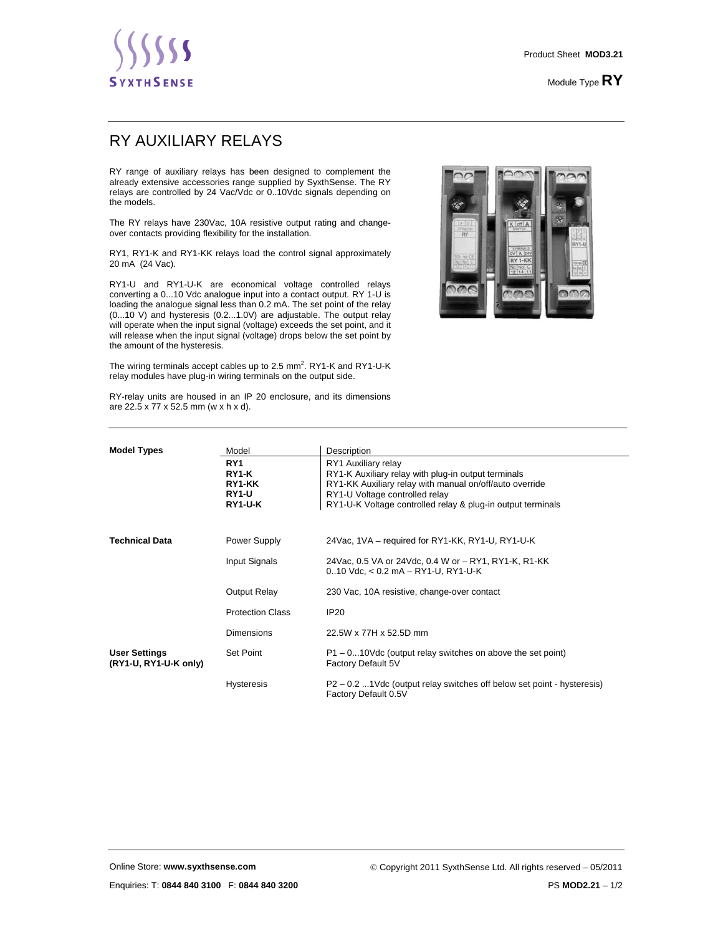Module Type **RY**

## RY AUXILIARY RELAYS

RY range of auxiliary relays has been designed to complement the already extensive accessories range supplied by SyxthSense. The RY relays are controlled by 24 Vac/Vdc or 0..10Vdc signals depending on the models.

The RY relays have 230Vac, 10A resistive output rating and changeover contacts providing flexibility for the installation.

RY1, RY1-K and RY1-KK relays load the control signal approximately 20 mA (24 Vac).

RY1-U and RY1-U-K are economical voltage controlled relays converting a 0...10 Vdc analogue input into a contact output. RY 1-U is loading the analogue signal less than 0.2 mA. The set point of the relay (0...10 V) and hysteresis (0.2...1.0V) are adjustable. The output relay will operate when the input signal (voltage) exceeds the set point, and it will release when the input signal (voltage) drops below the set point by the amount of the hysteresis.

The wiring terminals accept cables up to 2.5 mm<sup>2</sup>. RY1-K and RY1-U-K relay modules have plug-in wiring terminals on the output side.



RY-relay units are housed in an IP 20 enclosure, and its dimensions are 22.5 x 77 x 52.5 mm (w x h x d).

| <b>Model Types</b>                            | Model                                                  | Description                                                                                                                                                                                                                            |
|-----------------------------------------------|--------------------------------------------------------|----------------------------------------------------------------------------------------------------------------------------------------------------------------------------------------------------------------------------------------|
|                                               | RY <sub>1</sub><br>RY1-K<br>RY1-KK<br>RY1-U<br>RY1-U-K | RY1 Auxiliary relay<br>RY1-K Auxiliary relay with plug-in output terminals<br>RY1-KK Auxiliary relay with manual on/off/auto override<br>RY1-U Voltage controlled relay<br>RY1-U-K Voltage controlled relay & plug-in output terminals |
| <b>Technical Data</b>                         | Power Supply                                           | 24Vac, 1VA - required for RY1-KK, RY1-U, RY1-U-K                                                                                                                                                                                       |
|                                               | Input Signals                                          | 24Vac, 0.5 VA or 24Vdc, 0.4 W or - RY1, RY1-K, R1-KK<br>$0.10$ Vdc, $< 0.2$ mA $-$ RY1-U, RY1-U-K                                                                                                                                      |
|                                               | Output Relay                                           | 230 Vac, 10A resistive, change-over contact                                                                                                                                                                                            |
|                                               | <b>Protection Class</b>                                | <b>IP20</b>                                                                                                                                                                                                                            |
|                                               | <b>Dimensions</b>                                      | 22.5W x 77H x 52.5D mm                                                                                                                                                                                                                 |
| <b>User Settings</b><br>(RY1-U, RY1-U-K only) | Set Point                                              | $P1 - 0$ 10Vdc (output relay switches on above the set point)<br>Factory Default 5V                                                                                                                                                    |
|                                               | <b>Hysteresis</b>                                      | P2-0.2 1Vdc (output relay switches off below set point - hysteresis)<br>Factory Default 0.5V                                                                                                                                           |